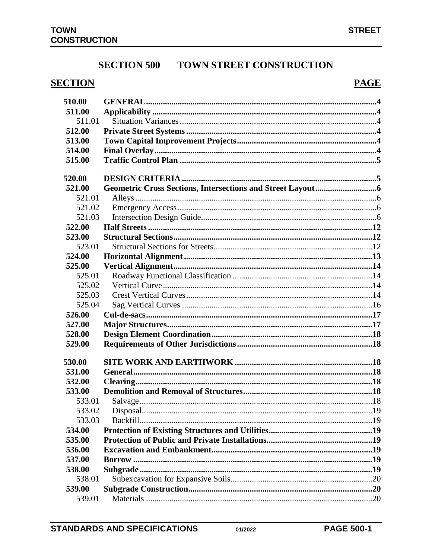# **SECTION 500 TOWN STREET CONSTRUCTION**

# **SECTION**

# **PAGE**

| 510.00 |  |
|--------|--|
| 511.00 |  |
| 511.01 |  |
| 512.00 |  |
| 513.00 |  |
| 514.00 |  |
| 515.00 |  |
| 520.00 |  |
| 521.00 |  |
| 521.01 |  |
| 521.02 |  |
| 521.03 |  |
| 522.00 |  |
| 523.00 |  |
| 523.01 |  |
| 524.00 |  |
| 525.00 |  |
| 525.01 |  |
| 525.02 |  |
| 525.03 |  |
| 525.04 |  |
| 526.00 |  |
| 527.00 |  |
| 528.00 |  |
| 529.00 |  |
| 530.00 |  |
| 531.00 |  |
| 532.00 |  |
| 533.00 |  |
| 533.01 |  |
| 533.02 |  |
| 533.03 |  |
| 534.00 |  |
| 535.00 |  |
| 536.00 |  |
| 537.00 |  |
| 538.00 |  |
| 538.01 |  |
| 539.00 |  |
| 539.01 |  |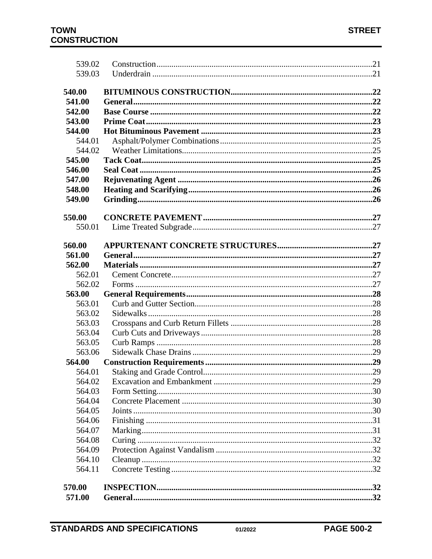| 539.02 |  |
|--------|--|
| 539.03 |  |
|        |  |
| 540.00 |  |
| 541.00 |  |
| 542.00 |  |
| 543.00 |  |
| 544.00 |  |
| 544.01 |  |
| 544.02 |  |
| 545.00 |  |
| 546.00 |  |
| 547.00 |  |
| 548.00 |  |
| 549.00 |  |
|        |  |
| 550.00 |  |
| 550.01 |  |
|        |  |
| 560.00 |  |
| 561.00 |  |
| 562.00 |  |
| 562.01 |  |
| 562.02 |  |
| 563.00 |  |
| 563.01 |  |
| 563.02 |  |
| 563.03 |  |
| 563.04 |  |
| 563.05 |  |
| 563.06 |  |
| 564.00 |  |
| 564.01 |  |
| 564.02 |  |
| 564.03 |  |
| 564.04 |  |
| 564.05 |  |
| 564.06 |  |
| 564.07 |  |
| 564.08 |  |
| 564.09 |  |
| 564.10 |  |
| 564.11 |  |
|        |  |
| 570.00 |  |
| 571.00 |  |
|        |  |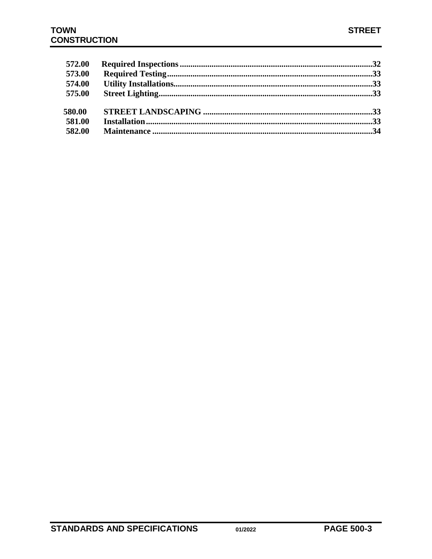| 572.00 |  |
|--------|--|
| 573.00 |  |
| 574.00 |  |
| 575.00 |  |
| 580.00 |  |
| 581.00 |  |
| 582.00 |  |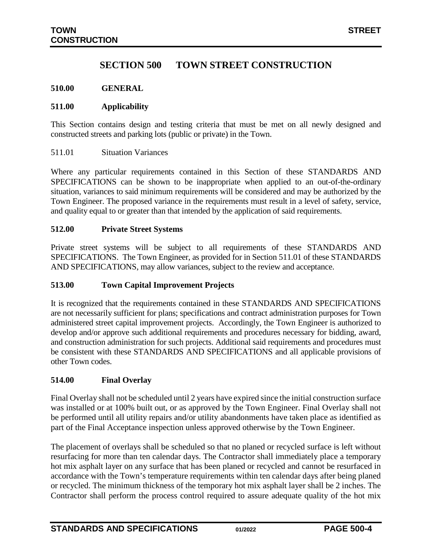# **SECTION 500 TOWN STREET CONSTRUCTION**

#### <span id="page-3-0"></span>**510.00 GENERAL**

#### <span id="page-3-1"></span>**511.00 Applicability**

This Section contains design and testing criteria that must be met on all newly designed and constructed streets and parking lots (public or private) in the Town.

#### <span id="page-3-2"></span>511.01 Situation Variances

Where any particular requirements contained in this Section of these STANDARDS AND SPECIFICATIONS can be shown to be inappropriate when applied to an out-of-the-ordinary situation, variances to said minimum requirements will be considered and may be authorized by the Town Engineer. The proposed variance in the requirements must result in a level of safety, service, and quality equal to or greater than that intended by the application of said requirements.

#### <span id="page-3-3"></span>**512.00 Private Street Systems**

Private street systems will be subject to all requirements of these STANDARDS AND SPECIFICATIONS. The Town Engineer, as provided for in Section 511.01 of these STANDARDS AND SPECIFICATIONS, may allow variances, subject to the review and acceptance.

#### <span id="page-3-4"></span>**513.00 Town Capital Improvement Projects**

It is recognized that the requirements contained in these STANDARDS AND SPECIFICATIONS are not necessarily sufficient for plans; specifications and contract administration purposes for Town administered street capital improvement projects. Accordingly, the Town Engineer is authorized to develop and/or approve such additional requirements and procedures necessary for bidding, award, and construction administration for such projects. Additional said requirements and procedures must be consistent with these STANDARDS AND SPECIFICATIONS and all applicable provisions of other Town codes.

#### <span id="page-3-5"></span>**514.00 Final Overlay**

Final Overlay shall not be scheduled until 2 years have expired since the initial construction surface was installed or at 100% built out, or as approved by the Town Engineer. Final Overlay shall not be performed until all utility repairs and/or utility abandonments have taken place as identified as part of the Final Acceptance inspection unless approved otherwise by the Town Engineer.

The placement of overlays shall be scheduled so that no planed or recycled surface is left without resurfacing for more than ten calendar days. The Contractor shall immediately place a temporary hot mix asphalt layer on any surface that has been planed or recycled and cannot be resurfaced in accordance with the Town's temperature requirements within ten calendar days after being planed or recycled. The minimum thickness of the temporary hot mix asphalt layer shall be 2 inches. The Contractor shall perform the process control required to assure adequate quality of the hot mix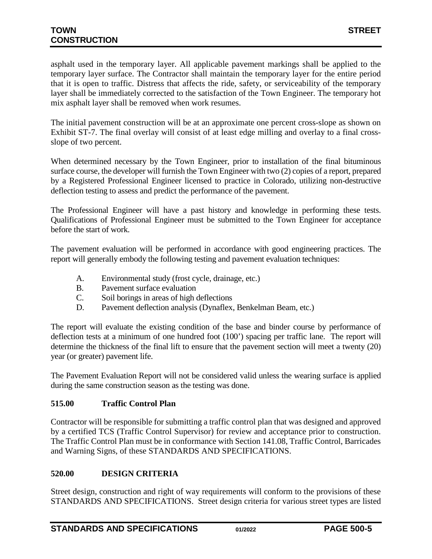asphalt used in the temporary layer. All applicable pavement markings shall be applied to the temporary layer surface. The Contractor shall maintain the temporary layer for the entire period that it is open to traffic. Distress that affects the ride, safety, or serviceability of the temporary layer shall be immediately corrected to the satisfaction of the Town Engineer. The temporary hot mix asphalt layer shall be removed when work resumes.

The initial pavement construction will be at an approximate one percent cross-slope as shown on Exhibit ST-7. The final overlay will consist of at least edge milling and overlay to a final crossslope of two percent.

When determined necessary by the Town Engineer, prior to installation of the final bituminous surface course, the developer will furnish the Town Engineer with two (2) copies of a report, prepared by a Registered Professional Engineer licensed to practice in Colorado, utilizing non-destructive deflection testing to assess and predict the performance of the pavement.

The Professional Engineer will have a past history and knowledge in performing these tests. Qualifications of Professional Engineer must be submitted to the Town Engineer for acceptance before the start of work.

The pavement evaluation will be performed in accordance with good engineering practices. The report will generally embody the following testing and pavement evaluation techniques:

- A. Environmental study (frost cycle, drainage, etc.)
- B. Pavement surface evaluation
- C. Soil borings in areas of high deflections
- D. Pavement deflection analysis (Dynaflex, Benkelman Beam, etc.)

The report will evaluate the existing condition of the base and binder course by performance of deflection tests at a minimum of one hundred foot (100') spacing per traffic lane. The report will determine the thickness of the final lift to ensure that the pavement section will meet a twenty (20) year (or greater) pavement life.

The Pavement Evaluation Report will not be considered valid unless the wearing surface is applied during the same construction season as the testing was done.

# <span id="page-4-0"></span>**515.00 Traffic Control Plan**

Contractor will be responsible for submitting a traffic control plan that was designed and approved by a certified TCS (Traffic Control Supervisor) for review and acceptance prior to construction. The Traffic Control Plan must be in conformance with Section 141.08, Traffic Control, Barricades and Warning Signs, of these STANDARDS AND SPECIFICATIONS.

# <span id="page-4-1"></span>**520.00 DESIGN CRITERIA**

Street design, construction and right of way requirements will conform to the provisions of these STANDARDS AND SPECIFICATIONS. Street design criteria for various street types are listed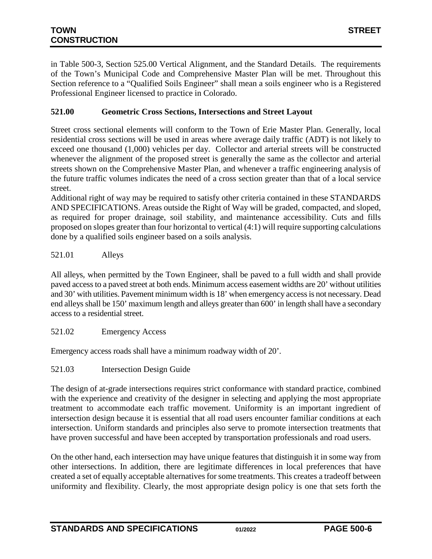in Table 500-3, Section 525.00 Vertical Alignment, and the Standard Details. The requirements of the Town's Municipal Code and Comprehensive Master Plan will be met. Throughout this Section reference to a "Qualified Soils Engineer" shall mean a soils engineer who is a Registered Professional Engineer licensed to practice in Colorado.

# <span id="page-5-0"></span>**521.00 Geometric Cross Sections, Intersections and Street Layout**

Street cross sectional elements will conform to the Town of Erie Master Plan. Generally, local residential cross sections will be used in areas where average daily traffic (ADT) is not likely to exceed one thousand (1,000) vehicles per day. Collector and arterial streets will be constructed whenever the alignment of the proposed street is generally the same as the collector and arterial streets shown on the Comprehensive Master Plan, and whenever a traffic engineering analysis of the future traffic volumes indicates the need of a cross section greater than that of a local service street.

Additional right of way may be required to satisfy other criteria contained in these STANDARDS AND SPECIFICATIONS. Areas outside the Right of Way will be graded, compacted, and sloped, as required for proper drainage, soil stability, and maintenance accessibility. Cuts and fills proposed on slopes greater than four horizontal to vertical (4:1) will require supporting calculations done by a qualified soils engineer based on a soils analysis.

<span id="page-5-1"></span>521.01 Alleys

All alleys, when permitted by the Town Engineer, shall be paved to a full width and shall provide paved access to a paved street at both ends. Minimum access easement widths are 20' without utilities and 30' with utilities. Pavement minimum width is 18' when emergency access is not necessary. Dead end alleys shall be 150' maximum length and alleys greater than 600' in length shall have a secondary access to a residential street.

<span id="page-5-2"></span>521.02 Emergency Access

Emergency access roads shall have a minimum roadway width of 20'.

<span id="page-5-3"></span>521.03 Intersection Design Guide

The design of at-grade intersections requires strict conformance with standard practice, combined with the experience and creativity of the designer in selecting and applying the most appropriate treatment to accommodate each traffic movement. Uniformity is an important ingredient of intersection design because it is essential that all road users encounter familiar conditions at each intersection. Uniform standards and principles also serve to promote intersection treatments that have proven successful and have been accepted by transportation professionals and road users.

On the other hand, each intersection may have unique features that distinguish it in some way from other intersections. In addition, there are legitimate differences in local preferences that have created a set of equally acceptable alternatives for some treatments. This creates a tradeoff between uniformity and flexibility. Clearly, the most appropriate design policy is one that sets forth the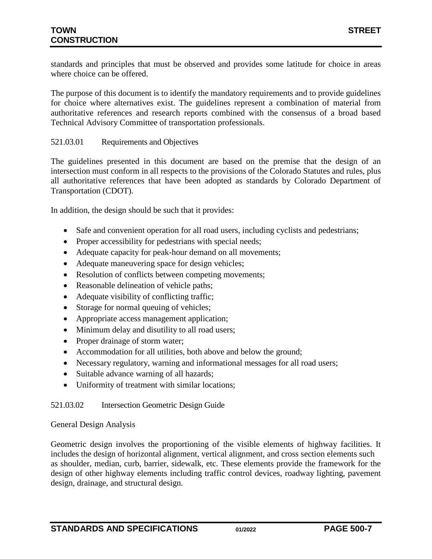standards and principles that must be observed and provides some latitude for choice in areas where choice can be offered.

The purpose of this document is to identify the mandatory requirements and to provide guidelines for choice where alternatives exist. The guidelines represent a combination of material from authoritative references and research reports combined with the consensus of a broad based Technical Advisory Committee of transportation professionals.

### 521.03.01 Requirements and Objectives

The guidelines presented in this document are based on the premise that the design of an intersection must conform in all respects to the provisions of the Colorado Statutes and rules, plus all authoritative references that have been adopted as standards by Colorado Department of Transportation (CDOT).

In addition, the design should be such that it provides:

- Safe and convenient operation for all road users, including cyclists and pedestrians;
- Proper accessibility for pedestrians with special needs;
- Adequate capacity for peak-hour demand on all movements;
- Adequate maneuvering space for design vehicles;
- Resolution of conflicts between competing movements;
- Reasonable delineation of vehicle paths;
- Adequate visibility of conflicting traffic;
- Storage for normal queuing of vehicles;
- Appropriate access management application;
- Minimum delay and disutility to all road users;
- Proper drainage of storm water;
- Accommodation for all utilities, both above and below the ground;
- Necessary regulatory, warning and informational messages for all road users;
- Suitable advance warning of all hazards;
- Uniformity of treatment with similar locations;

### 521.03.02 Intersection Geometric Design Guide

#### General Design Analysis

Geometric design involves the proportioning of the visible elements of highway facilities. It includes the design of horizontal alignment, vertical alignment, and cross section elements such as shoulder, median, curb, barrier, sidewalk, etc. These elements provide the framework for the design of other highway elements including traffic control devices, roadway lighting, pavement design, drainage, and structural design.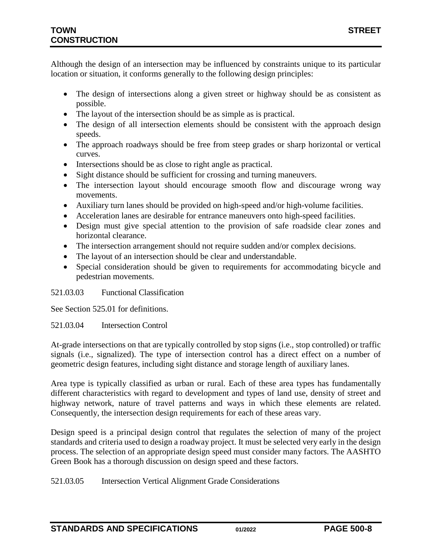Although the design of an intersection may be influenced by constraints unique to its particular location or situation, it conforms generally to the following design principles:

- The design of intersections along a given street or highway should be as consistent as possible.
- The layout of the intersection should be as simple as is practical.
- The design of all intersection elements should be consistent with the approach design speeds.
- The approach roadways should be free from steep grades or sharp horizontal or vertical curves.
- Intersections should be as close to right angle as practical.
- Sight distance should be sufficient for crossing and turning maneuvers.
- The intersection layout should encourage smooth flow and discourage wrong way movements.
- Auxiliary turn lanes should be provided on high-speed and/or high-volume facilities.
- Acceleration lanes are desirable for entrance maneuvers onto high-speed facilities.
- Design must give special attention to the provision of safe roadside clear zones and horizontal clearance.
- The intersection arrangement should not require sudden and/or complex decisions.
- The layout of an intersection should be clear and understandable.
- Special consideration should be given to requirements for accommodating bicycle and pedestrian movements.

### 521.03.03 Functional Classification

See Section 525.01 for definitions.

### 521.03.04 Intersection Control

At-grade intersections on that are typically controlled by stop signs (i.e., stop controlled) or traffic signals (i.e., signalized). The type of intersection control has a direct effect on a number of geometric design features, including sight distance and storage length of auxiliary lanes.

Area type is typically classified as urban or rural. Each of these area types has fundamentally different characteristics with regard to development and types of land use, density of street and highway network, nature of travel patterns and ways in which these elements are related. Consequently, the intersection design requirements for each of these areas vary.

Design speed is a principal design control that regulates the selection of many of the project standards and criteria used to design a roadway project. It must be selected very early in the design process. The selection of an appropriate design speed must consider many factors. The AASHTO Green Book has a thorough discussion on design speed and these factors.

521.03.05 Intersection Vertical Alignment Grade Considerations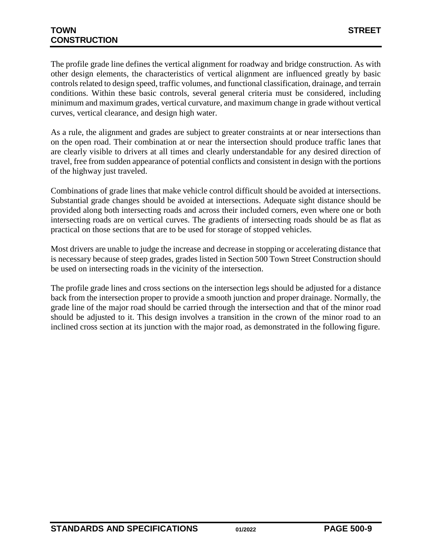The profile grade line defines the vertical alignment for roadway and bridge construction. As with other design elements, the characteristics of vertical alignment are influenced greatly by basic controls related to design speed, traffic volumes, and functional classification, drainage, and terrain conditions. Within these basic controls, several general criteria must be considered, including minimum and maximum grades, vertical curvature, and maximum change in grade without vertical curves, vertical clearance, and design high water.

As a rule, the alignment and grades are subject to greater constraints at or near intersections than on the open road. Their combination at or near the intersection should produce traffic lanes that are clearly visible to drivers at all times and clearly understandable for any desired direction of travel, free from sudden appearance of potential conflicts and consistent in design with the portions of the highway just traveled.

Combinations of grade lines that make vehicle control difficult should be avoided at intersections. Substantial grade changes should be avoided at intersections. Adequate sight distance should be provided along both intersecting roads and across their included corners, even where one or both intersecting roads are on vertical curves. The gradients of intersecting roads should be as flat as practical on those sections that are to be used for storage of stopped vehicles.

Most drivers are unable to judge the increase and decrease in stopping or accelerating distance that is necessary because of steep grades, grades listed in Section 500 Town Street Construction should be used on intersecting roads in the vicinity of the intersection.

The profile grade lines and cross sections on the intersection legs should be adjusted for a distance back from the intersection proper to provide a smooth junction and proper drainage. Normally, the grade line of the major road should be carried through the intersection and that of the minor road should be adjusted to it. This design involves a transition in the crown of the minor road to an inclined cross section at its junction with the major road, as demonstrated in the following figure.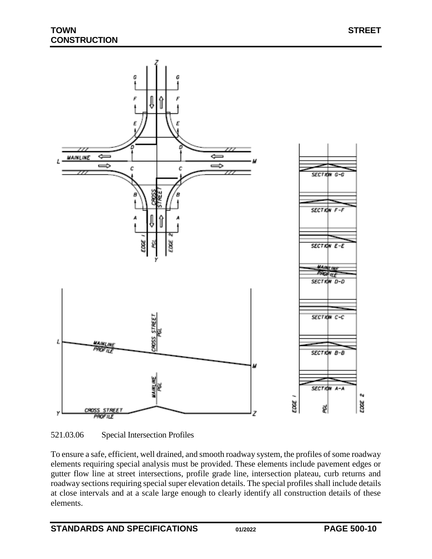



To ensure a safe, efficient, well drained, and smooth roadway system, the profiles of some roadway elements requiring special analysis must be provided. These elements include pavement edges or gutter flow line at street intersections, profile grade line, intersection plateau, curb returns and roadway sections requiring special super elevation details. The special profiles shall include details at close intervals and at a scale large enough to clearly identify all construction details of these elements.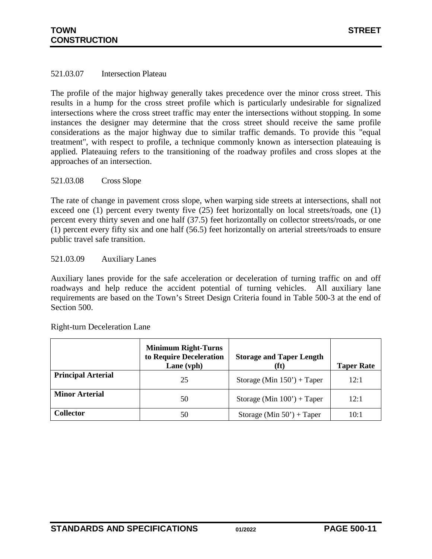### 521.03.07 Intersection Plateau

The profile of the major highway generally takes precedence over the minor cross street. This results in a hump for the cross street profile which is particularly undesirable for signalized intersections where the cross street traffic may enter the intersections without stopping. In some instances the designer may determine that the cross street should receive the same profile considerations as the major highway due to similar traffic demands. To provide this "equal treatment", with respect to profile, a technique commonly known as intersection plateauing is applied. Plateauing refers to the transitioning of the roadway profiles and cross slopes at the approaches of an intersection.

#### 521.03.08 Cross Slope

The rate of change in pavement cross slope, when warping side streets at intersections, shall not exceed one (1) percent every twenty five (25) feet horizontally on local streets/roads, one (1) percent every thirty seven and one half (37.5) feet horizontally on collector streets/roads, or one (1) percent every fifty six and one half (56.5) feet horizontally on arterial streets/roads to ensure public travel safe transition.

#### 521.03.09 Auxiliary Lanes

Auxiliary lanes provide for the safe acceleration or deceleration of turning traffic on and off roadways and help reduce the accident potential of turning vehicles. All auxiliary lane requirements are based on the Town's Street Design Criteria found in Table 500-3 at the end of Section 500.

|                           | <b>Minimum Right-Turns</b><br>to Require Deceleration<br>Lane (vph) | <b>Storage and Taper Length</b><br>(ft) | <b>Taper Rate</b> |
|---------------------------|---------------------------------------------------------------------|-----------------------------------------|-------------------|
| <b>Principal Arterial</b> | 25                                                                  | Storage (Min $150'$ ) + Taper           | 12:1              |
| <b>Minor Arterial</b>     | 50                                                                  | Storage (Min $100'$ ) + Taper           | 12:1              |
| <b>Collector</b>          | 50                                                                  | Storage (Min $50'$ ) + Taper            | 10:1              |

Right-turn Deceleration Lane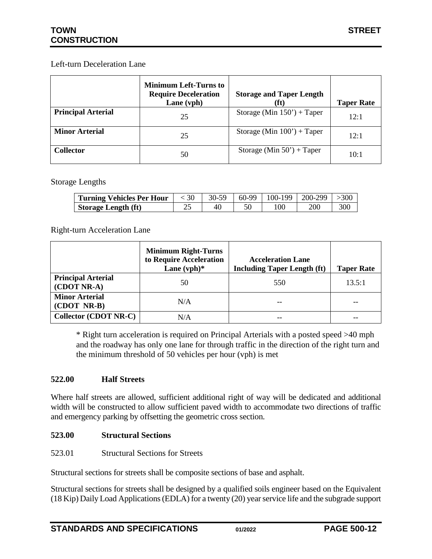### Left-turn Deceleration Lane

|                           | <b>Minimum Left-Turns to</b><br><b>Require Deceleration</b><br>Lane (vph) | <b>Storage and Taper Length</b><br>(ft) | <b>Taper Rate</b> |
|---------------------------|---------------------------------------------------------------------------|-----------------------------------------|-------------------|
| <b>Principal Arterial</b> | 25                                                                        | Storage (Min $150'$ ) + Taper           | 12:1              |
| <b>Minor Arterial</b>     | 25                                                                        | Storage (Min $100'$ ) + Taper           | 12:1              |
| <b>Collector</b>          | 50                                                                        | Storage (Min $50'$ ) + Taper            | 10:1              |

Storage Lengths

| <b>Turning Vehicles Per Hour</b> | . 30- | 30-59 | $60-99$ | $100-199$   200-299 |  |
|----------------------------------|-------|-------|---------|---------------------|--|
| <b>Storage Length (ft)</b>       | ~~    | 40    |         |                     |  |

Right-turn Acceleration Lane

|                                          | <b>Minimum Right-Turns</b><br>to Require Acceleration<br>Lane $(vph)*$ | <b>Acceleration Lane</b><br><b>Including Taper Length (ft)</b> | <b>Taper Rate</b> |
|------------------------------------------|------------------------------------------------------------------------|----------------------------------------------------------------|-------------------|
| <b>Principal Arterial</b><br>(CDOT NR-A) | 50                                                                     | 550                                                            | 13.5:1            |
| <b>Minor Arterial</b><br>(CDOT NR-B)     | N/A                                                                    |                                                                |                   |
| <b>Collector (CDOT NR-C)</b>             | N/A                                                                    |                                                                |                   |

\* Right turn acceleration is required on Principal Arterials with a posted speed >40 mph and the roadway has only one lane for through traffic in the direction of the right turn and the minimum threshold of 50 vehicles per hour (vph) is met

### <span id="page-11-0"></span>**522.00 Half Streets**

Where half streets are allowed, sufficient additional right of way will be dedicated and additional width will be constructed to allow sufficient paved width to accommodate two directions of traffic and emergency parking by offsetting the geometric cross section.

### <span id="page-11-1"></span>**523.00 Structural Sections**

<span id="page-11-2"></span>523.01 Structural Sections for Streets

Structural sections for streets shall be composite sections of base and asphalt.

Structural sections for streets shall be designed by a qualified soils engineer based on the Equivalent (18 Kip) Daily Load Applications (EDLA) for a twenty (20) year service life and the subgrade support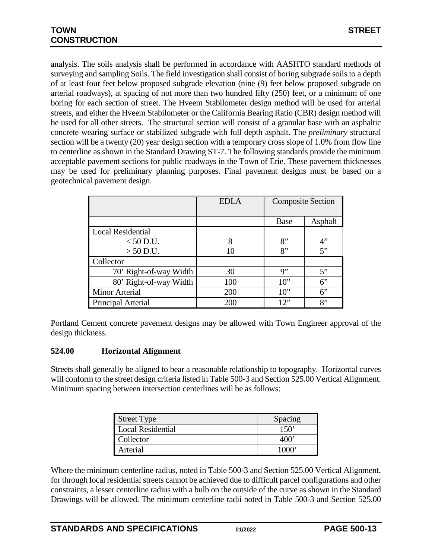analysis. The soils analysis shall be performed in accordance with AASHTO standard methods of surveying and sampling Soils. The field investigation shall consist of boring subgrade soils to a depth of at least four feet below proposed subgrade elevation (nine (9) feet below proposed subgrade on arterial roadways), at spacing of not more than two hundred fifty (250) feet, or a minimum of one boring for each section of street. The Hveem Stabilometer design method will be used for arterial streets, and either the Hveem Stabilometer or the California Bearing Ratio (CBR) design method will be used for all other streets. The structural section will consist of a granular base with an asphaltic concrete wearing surface or stabilized subgrade with full depth asphalt. The *preliminary* structural section will be a twenty (20) year design section with a temporary cross slope of 1.0% from flow line to centerline as shown in the Standard Drawing ST-7. The following standards provide the minimum acceptable pavement sections for public roadways in the Town of Erie. These pavement thicknesses may be used for preliminary planning purposes. Final pavement designs must be based on a geotechnical pavement design.

|                          | <b>EDLA</b> | <b>Composite Section</b> |         |
|--------------------------|-------------|--------------------------|---------|
|                          |             |                          |         |
|                          |             | <b>Base</b>              | Asphalt |
| <b>Local Residential</b> |             |                          |         |
| $< 50$ D.U.              | 8           | 8"                       | 4"      |
| $> 50$ D.U.              | 10          | 8"                       | 5"      |
| Collector                |             |                          |         |
| 70' Right-of-way Width   | 30          | 9"                       | 5"      |
| 80' Right-of-way Width   | 100         | $10$ "                   | $6$ "   |
| <b>Minor Arterial</b>    | 200         | $10$ "                   | 6"      |
| Principal Arterial       | 200         | 12"                      | 8"      |

Portland Cement concrete pavement designs may be allowed with Town Engineer approval of the design thickness.

### <span id="page-12-0"></span>**524.00 Horizontal Alignment**

Streets shall generally be aligned to bear a reasonable relationship to topography. Horizontal curves will conform to the street design criteria listed in Table 500-3 and Section 525.00 Vertical Alignment. Minimum spacing between intersection centerlines will be as follows:

| Street Type       | Spacing       |
|-------------------|---------------|
| Local Residential | $150^{\circ}$ |
| Collector         |               |
| Arterial          | 1000'         |

Where the minimum centerline radius, noted in Table 500-3 and Section 525.00 Vertical Alignment, for through local residential streets cannot be achieved due to difficult parcel configurations and other constraints, a lesser centerline radius with a bulb on the outside of the curve as shown in the Standard Drawings will be allowed. The minimum centerline radii noted in Table 500-3 and Section 525.00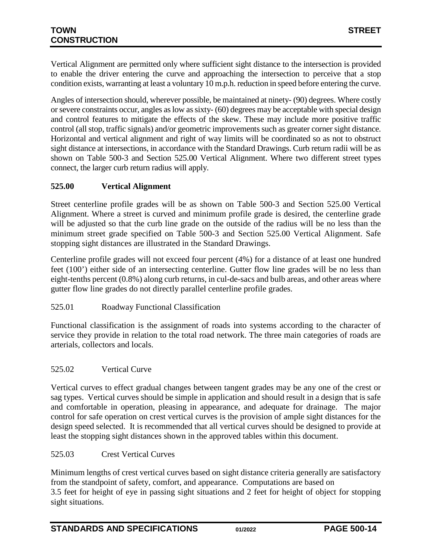Vertical Alignment are permitted only where sufficient sight distance to the intersection is provided to enable the driver entering the curve and approaching the intersection to perceive that a stop condition exists, warranting at least a voluntary 10 m.p.h. reduction in speed before entering the curve.

Angles of intersection should, wherever possible, be maintained at ninety- (90) degrees. Where costly or severe constraints occur, angles as low as sixty- (60) degrees may be acceptable with special design and control features to mitigate the effects of the skew. These may include more positive traffic control (all stop, traffic signals) and/or geometric improvements such as greater corner sight distance. Horizontal and vertical alignment and right of way limits will be coordinated so as not to obstruct sight distance at intersections, in accordance with the Standard Drawings. Curb return radii will be as shown on Table 500-3 and Section 525.00 Vertical Alignment. Where two different street types connect, the larger curb return radius will apply.

# <span id="page-13-0"></span>**525.00 Vertical Alignment**

Street centerline profile grades will be as shown on Table 500-3 and Section 525.00 Vertical Alignment. Where a street is curved and minimum profile grade is desired, the centerline grade will be adjusted so that the curb line grade on the outside of the radius will be no less than the minimum street grade specified on Table 500-3 and Section 525.00 Vertical Alignment. Safe stopping sight distances are illustrated in the Standard Drawings.

Centerline profile grades will not exceed four percent (4%) for a distance of at least one hundred feet (100') either side of an intersecting centerline. Gutter flow line grades will be no less than eight-tenths percent (0.8%) along curb returns, in cul-de-sacs and bulb areas, and other areas where gutter flow line grades do not directly parallel centerline profile grades.

<span id="page-13-1"></span>525.01 Roadway Functional Classification

Functional classification is the assignment of roads into systems according to the character of service they provide in relation to the total road network. The three main categories of roads are arterials, collectors and locals.

### <span id="page-13-2"></span>525.02 Vertical Curve

Vertical curves to effect gradual changes between tangent grades may be any one of the crest or sag types. Vertical curves should be simple in application and should result in a design that is safe and comfortable in operation, pleasing in appearance, and adequate for drainage. The major control for safe operation on crest vertical curves is the provision of ample sight distances for the design speed selected. It is recommended that all vertical curves should be designed to provide at least the stopping sight distances shown in the approved tables within this document.

### <span id="page-13-3"></span>525.03 Crest Vertical Curves

Minimum lengths of crest vertical curves based on sight distance criteria generally are satisfactory from the standpoint of safety, comfort, and appearance. Computations are based on 3.5 feet for height of eye in passing sight situations and 2 feet for height of object for stopping sight situations.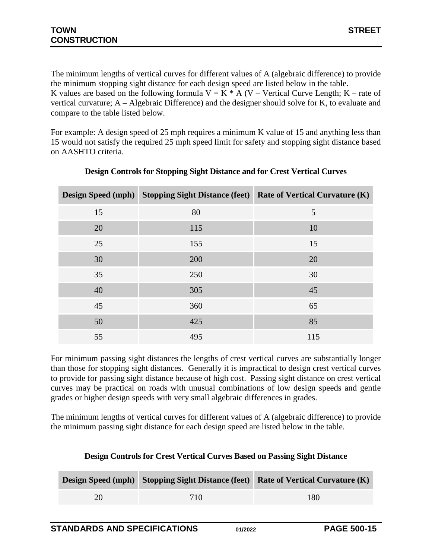The minimum lengths of vertical curves for different values of A (algebraic difference) to provide the minimum stopping sight distance for each design speed are listed below in the table. K values are based on the following formula  $V = K * A (V - Vertical Curve Length; K - rate of$ vertical curvature; A – Algebraic Difference) and the designer should solve for K, to evaluate and compare to the table listed below.

For example: A design speed of 25 mph requires a minimum K value of 15 and anything less than 15 would not satisfy the required 25 mph speed limit for safety and stopping sight distance based on AASHTO criteria.

| <b>Design Speed (mph)</b> |     | <b>Stopping Sight Distance (feet) Rate of Vertical Curvature (K)</b> |
|---------------------------|-----|----------------------------------------------------------------------|
| 15                        | 80  | 5                                                                    |
| 20                        | 115 | 10                                                                   |
| 25                        | 155 | 15                                                                   |
| 30                        | 200 | 20                                                                   |
| 35                        | 250 | 30                                                                   |
| 40                        | 305 | 45                                                                   |
| 45                        | 360 | 65                                                                   |
| 50                        | 425 | 85                                                                   |
| 55                        | 495 | 115                                                                  |

# **Design Controls for Stopping Sight Distance and for Crest Vertical Curves**

For minimum passing sight distances the lengths of crest vertical curves are substantially longer than those for stopping sight distances. Generally it is impractical to design crest vertical curves to provide for passing sight distance because of high cost. Passing sight distance on crest vertical curves may be practical on roads with unusual combinations of low design speeds and gentle grades or higher design speeds with very small algebraic differences in grades.

The minimum lengths of vertical curves for different values of A (algebraic difference) to provide the minimum passing sight distance for each design speed are listed below in the table.

|    |     | <b>Design Speed (mph)</b> Stopping Sight Distance (feet) Rate of Vertical Curvature (K) |
|----|-----|-----------------------------------------------------------------------------------------|
| 20 | 710 | 180                                                                                     |

# **Design Controls for Crest Vertical Curves Based on Passing Sight Distance**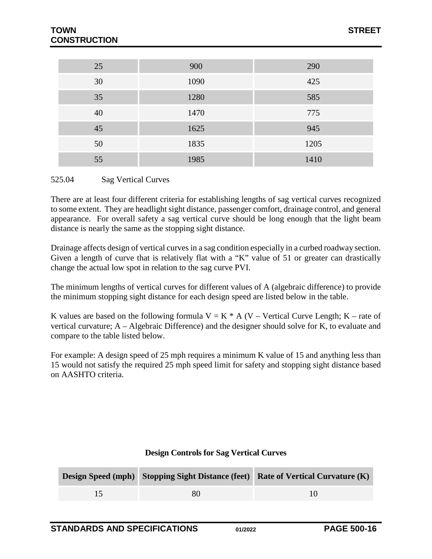| 25 | 900  | 290  |
|----|------|------|
| 30 | 1090 | 425  |
| 35 | 1280 | 585  |
| 40 | 1470 | 775  |
| 45 | 1625 | 945  |
| 50 | 1835 | 1205 |
| 55 | 1985 | 1410 |

#### <span id="page-15-0"></span>525.04 Sag Vertical Curves

There are at least four different criteria for establishing lengths of sag vertical curves recognized to some extent. They are headlight sight distance, passenger comfort, drainage control, and general appearance. For overall safety a sag vertical curve should be long enough that the light beam distance is nearly the same as the stopping sight distance.

Drainage affects design of vertical curves in a sag condition especially in a curbed roadway section. Given a length of curve that is relatively flat with a "K" value of 51 or greater can drastically change the actual low spot in relation to the sag curve PVI.

The minimum lengths of vertical curves for different values of A (algebraic difference) to provide the minimum stopping sight distance for each design speed are listed below in the table.

K values are based on the following formula  $V = K * A (V - Vertical Curve Length; K - rate of$ vertical curvature; A – Algebraic Difference) and the designer should solve for K, to evaluate and compare to the table listed below.

For example: A design speed of 25 mph requires a minimum K value of 15 and anything less than 15 would not satisfy the required 25 mph speed limit for safety and stopping sight distance based on AASHTO criteria.

|    | <b>Design Speed (mph)</b> Stopping Sight Distance (feet) Rate of Vertical Curvature (K) |  |  |
|----|-----------------------------------------------------------------------------------------|--|--|
| 80 |                                                                                         |  |  |

#### **Design Controls for Sag Vertical Curves**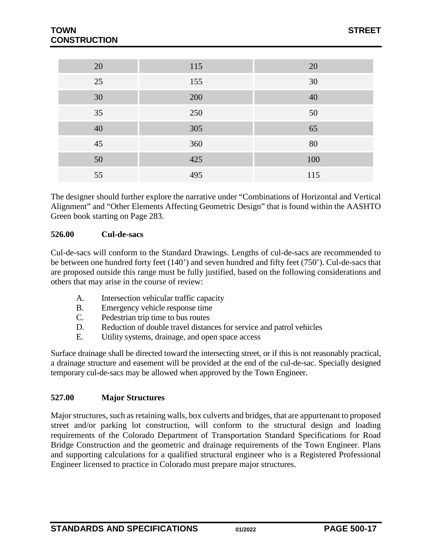| 20 | 115 | 20  |
|----|-----|-----|
| 25 | 155 | 30  |
| 30 | 200 | 40  |
| 35 | 250 | 50  |
| 40 | 305 | 65  |
| 45 | 360 | 80  |
| 50 | 425 | 100 |
| 55 | 495 | 115 |

The designer should further explore the narrative under "Combinations of Horizontal and Vertical Alignment" and "Other Elements Affecting Geometric Design" that is found within the AASHTO Green book starting on Page 283.

### <span id="page-16-0"></span>**526.00 Cul-de-sacs**

Cul-de-sacs will conform to the Standard Drawings. Lengths of cul-de-sacs are recommended to be between one hundred forty feet (140') and seven hundred and fifty feet (750'). Cul-de-sacs that are proposed outside this range must be fully justified, based on the following considerations and others that may arise in the course of review:

- A. Intersection vehicular traffic capacity
- B. Emergency vehicle response time
- C. Pedestrian trip time to bus routes
- D. Reduction of double travel distances for service and patrol vehicles
- E. Utility systems, drainage, and open space access

Surface drainage shall be directed toward the intersecting street, or if this is not reasonably practical, a drainage structure and easement will be provided at the end of the cul-de-sac. Specially designed temporary cul-de-sacs may be allowed when approved by the Town Engineer.

#### <span id="page-16-1"></span>**527.00 Major Structures**

Major structures, such as retaining walls, box culverts and bridges, that are appurtenant to proposed street and/or parking lot construction, will conform to the structural design and loading requirements of the Colorado Department of Transportation Standard Specifications for Road Bridge Construction and the geometric and drainage requirements of the Town Engineer. Plans and supporting calculations for a qualified structural engineer who is a Registered Professional Engineer licensed to practice in Colorado must prepare major structures.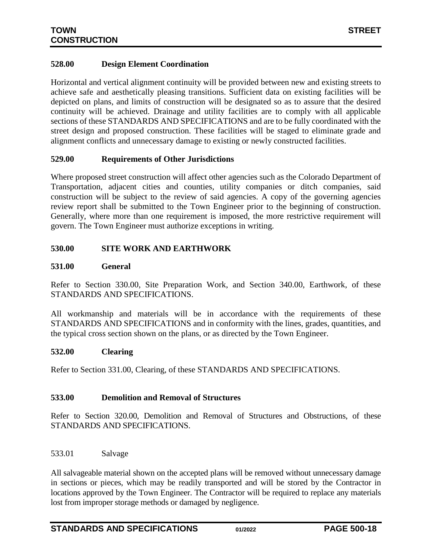### <span id="page-17-0"></span>**528.00 Design Element Coordination**

Horizontal and vertical alignment continuity will be provided between new and existing streets to achieve safe and aesthetically pleasing transitions. Sufficient data on existing facilities will be depicted on plans, and limits of construction will be designated so as to assure that the desired continuity will be achieved. Drainage and utility facilities are to comply with all applicable sections of these STANDARDS AND SPECIFICATIONS and are to be fully coordinated with the street design and proposed construction. These facilities will be staged to eliminate grade and alignment conflicts and unnecessary damage to existing or newly constructed facilities.

#### <span id="page-17-1"></span>**529.00 Requirements of Other Jurisdictions**

Where proposed street construction will affect other agencies such as the Colorado Department of Transportation, adjacent cities and counties, utility companies or ditch companies, said construction will be subject to the review of said agencies. A copy of the governing agencies review report shall be submitted to the Town Engineer prior to the beginning of construction. Generally, where more than one requirement is imposed, the more restrictive requirement will govern. The Town Engineer must authorize exceptions in writing.

### <span id="page-17-2"></span>**530.00 SITE WORK AND EARTHWORK**

#### <span id="page-17-3"></span>**531.00 General**

Refer to Section 330.00, Site Preparation Work, and Section 340.00, Earthwork, of these STANDARDS AND SPECIFICATIONS.

All workmanship and materials will be in accordance with the requirements of these STANDARDS AND SPECIFICATIONS and in conformity with the lines, grades, quantities, and the typical cross section shown on the plans, or as directed by the Town Engineer.

#### <span id="page-17-4"></span>**532.00 Clearing**

Refer to Section 331.00, Clearing, of these STANDARDS AND SPECIFICATIONS.

#### <span id="page-17-5"></span>**533.00 Demolition and Removal of Structures**

Refer to Section 320.00, Demolition and Removal of Structures and Obstructions, of these STANDARDS AND SPECIFICATIONS.

<span id="page-17-6"></span>533.01 Salvage

All salvageable material shown on the accepted plans will be removed without unnecessary damage in sections or pieces, which may be readily transported and will be stored by the Contractor in locations approved by the Town Engineer. The Contractor will be required to replace any materials lost from improper storage methods or damaged by negligence.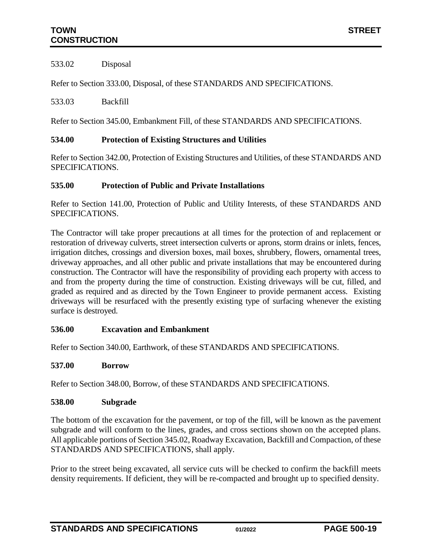<span id="page-18-0"></span>533.02 Disposal

Refer to Section 333.00, Disposal, of these STANDARDS AND SPECIFICATIONS.

<span id="page-18-1"></span>533.03 Backfill

Refer to Section 345.00, Embankment Fill, of these STANDARDS AND SPECIFICATIONS.

# <span id="page-18-2"></span>**534.00 Protection of Existing Structures and Utilities**

Refer to Section 342.00, Protection of Existing Structures and Utilities, of these STANDARDS AND SPECIFICATIONS.

### <span id="page-18-3"></span>**535.00 Protection of Public and Private Installations**

Refer to Section 141.00, Protection of Public and Utility Interests, of these STANDARDS AND SPECIFICATIONS.

The Contractor will take proper precautions at all times for the protection of and replacement or restoration of driveway culverts, street intersection culverts or aprons, storm drains or inlets, fences, irrigation ditches, crossings and diversion boxes, mail boxes, shrubbery, flowers, ornamental trees, driveway approaches, and all other public and private installations that may be encountered during construction. The Contractor will have the responsibility of providing each property with access to and from the property during the time of construction. Existing driveways will be cut, filled, and graded as required and as directed by the Town Engineer to provide permanent access. Existing driveways will be resurfaced with the presently existing type of surfacing whenever the existing surface is destroyed.

### <span id="page-18-4"></span>**536.00 Excavation and Embankment**

Refer to Section 340.00, Earthwork, of these STANDARDS AND SPECIFICATIONS.

### <span id="page-18-5"></span>**537.00 Borrow**

Refer to Section 348.00, Borrow, of these STANDARDS AND SPECIFICATIONS.

#### <span id="page-18-6"></span>**538.00 Subgrade**

The bottom of the excavation for the pavement, or top of the fill, will be known as the pavement subgrade and will conform to the lines, grades, and cross sections shown on the accepted plans. All applicable portions of Section 345.02, Roadway Excavation, Backfill and Compaction, of these STANDARDS AND SPECIFICATIONS, shall apply.

Prior to the street being excavated, all service cuts will be checked to confirm the backfill meets density requirements. If deficient, they will be re-compacted and brought up to specified density.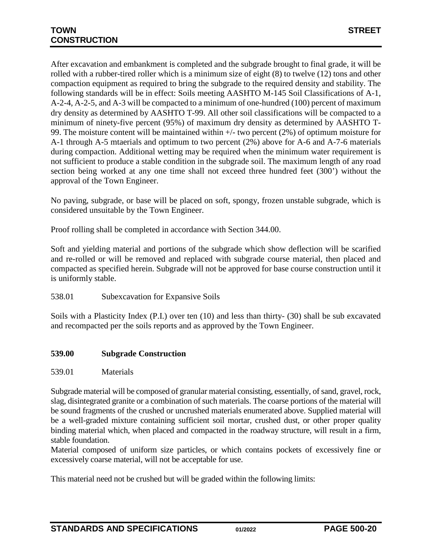After excavation and embankment is completed and the subgrade brought to final grade, it will be rolled with a rubber-tired roller which is a minimum size of eight (8) to twelve (12) tons and other compaction equipment as required to bring the subgrade to the required density and stability. The following standards will be in effect: Soils meeting AASHTO M-145 Soil Classifications of A-1, A-2-4, A-2-5, and A-3 will be compacted to a minimum of one-hundred (100) percent of maximum dry density as determined by AASHTO T-99. All other soil classifications will be compacted to a minimum of ninety-five percent (95%) of maximum dry density as determined by AASHTO T-99. The moisture content will be maintained within +/- two percent (2%) of optimum moisture for A-1 through A-5 mtaerials and optimum to two percent (2%) above for A-6 and A-7-6 materials during compaction. Additional wetting may be required when the minimum water requirement is not sufficient to produce a stable condition in the subgrade soil. The maximum length of any road section being worked at any one time shall not exceed three hundred feet (300') without the approval of the Town Engineer.

No paving, subgrade, or base will be placed on soft, spongy, frozen unstable subgrade, which is considered unsuitable by the Town Engineer.

Proof rolling shall be completed in accordance with Section 344.00.

Soft and yielding material and portions of the subgrade which show deflection will be scarified and re-rolled or will be removed and replaced with subgrade course material, then placed and compacted as specified herein. Subgrade will not be approved for base course construction until it is uniformly stable.

<span id="page-19-0"></span>538.01 Subexcavation for Expansive Soils

Soils with a Plasticity Index (P.I.) over ten (10) and less than thirty- (30) shall be sub excavated and recompacted per the soils reports and as approved by the Town Engineer.

### <span id="page-19-1"></span>**539.00 Subgrade Construction**

#### <span id="page-19-2"></span>539.01 Materials

Subgrade material will be composed of granular material consisting, essentially, of sand, gravel, rock, slag, disintegrated granite or a combination of such materials. The coarse portions of the material will be sound fragments of the crushed or uncrushed materials enumerated above. Supplied material will be a well-graded mixture containing sufficient soil mortar, crushed dust, or other proper quality binding material which, when placed and compacted in the roadway structure, will result in a firm, stable foundation.

Material composed of uniform size particles, or which contains pockets of excessively fine or excessively coarse material, will not be acceptable for use.

This material need not be crushed but will be graded within the following limits: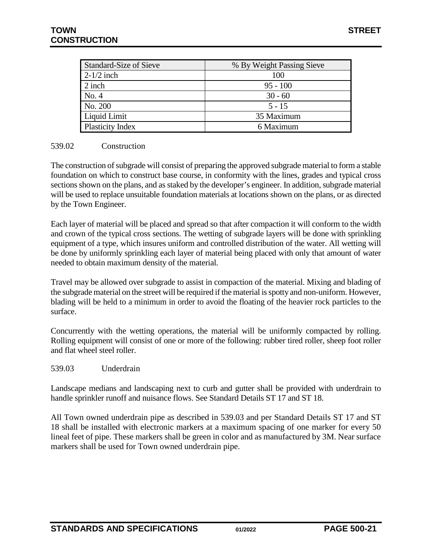| Standard-Size of Sieve | % By Weight Passing Sieve |  |  |
|------------------------|---------------------------|--|--|
| $2-1/2$ inch           | 100                       |  |  |
| $2$ inch               | $95 - 100$                |  |  |
| No. 4                  | $30 - 60$                 |  |  |
| No. 200                | $5 - 15$                  |  |  |
| Liquid Limit           | 35 Maximum                |  |  |
| Plasticity Index       | 6 Maximum                 |  |  |

### <span id="page-20-0"></span>539.02 Construction

The construction of subgrade will consist of preparing the approved subgrade material to form a stable foundation on which to construct base course, in conformity with the lines, grades and typical cross sections shown on the plans, and as staked by the developer's engineer. In addition, subgrade material will be used to replace unsuitable foundation materials at locations shown on the plans, or as directed by the Town Engineer.

Each layer of material will be placed and spread so that after compaction it will conform to the width and crown of the typical cross sections. The wetting of subgrade layers will be done with sprinkling equipment of a type, which insures uniform and controlled distribution of the water. All wetting will be done by uniformly sprinkling each layer of material being placed with only that amount of water needed to obtain maximum density of the material.

Travel may be allowed over subgrade to assist in compaction of the material. Mixing and blading of the subgrade material on the street will be required if the material is spotty and non-uniform. However, blading will be held to a minimum in order to avoid the floating of the heavier rock particles to the surface.

Concurrently with the wetting operations, the material will be uniformly compacted by rolling. Rolling equipment will consist of one or more of the following: rubber tired roller, sheep foot roller and flat wheel steel roller.

#### <span id="page-20-1"></span>539.03 Underdrain

Landscape medians and landscaping next to curb and gutter shall be provided with underdrain to handle sprinkler runoff and nuisance flows. See Standard Details ST 17 and ST 18.

All Town owned underdrain pipe as described in 539.03 and per Standard Details ST 17 and ST 18 shall be installed with electronic markers at a maximum spacing of one marker for every 50 lineal feet of pipe. These markers shall be green in color and as manufactured by 3M. Near surface markers shall be used for Town owned underdrain pipe.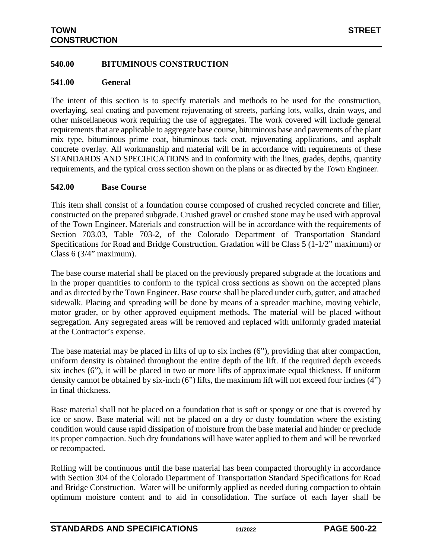### <span id="page-21-0"></span>**540.00 BITUMINOUS CONSTRUCTION**

#### <span id="page-21-1"></span>**541.00 General**

The intent of this section is to specify materials and methods to be used for the construction, overlaying, seal coating and pavement rejuvenating of streets, parking lots, walks, drain ways, and other miscellaneous work requiring the use of aggregates. The work covered will include general requirements that are applicable to aggregate base course, bituminous base and pavements of the plant mix type, bituminous prime coat, bituminous tack coat, rejuvenating applications, and asphalt concrete overlay. All workmanship and material will be in accordance with requirements of these STANDARDS AND SPECIFICATIONS and in conformity with the lines, grades, depths, quantity requirements, and the typical cross section shown on the plans or as directed by the Town Engineer.

#### <span id="page-21-2"></span>**542.00 Base Course**

This item shall consist of a foundation course composed of crushed recycled concrete and filler, constructed on the prepared subgrade. Crushed gravel or crushed stone may be used with approval of the Town Engineer. Materials and construction will be in accordance with the requirements of Section 703.03, Table 703-2, of the Colorado Department of Transportation Standard Specifications for Road and Bridge Construction. Gradation will be Class 5 (1-1/2" maximum) or Class 6 (3/4" maximum).

The base course material shall be placed on the previously prepared subgrade at the locations and in the proper quantities to conform to the typical cross sections as shown on the accepted plans and as directed by the Town Engineer. Base course shall be placed under curb, gutter, and attached sidewalk. Placing and spreading will be done by means of a spreader machine, moving vehicle, motor grader, or by other approved equipment methods. The material will be placed without segregation. Any segregated areas will be removed and replaced with uniformly graded material at the Contractor's expense.

The base material may be placed in lifts of up to six inches (6"), providing that after compaction, uniform density is obtained throughout the entire depth of the lift. If the required depth exceeds six inches (6"), it will be placed in two or more lifts of approximate equal thickness. If uniform density cannot be obtained by six-inch  $(6)$  lifts, the maximum lift will not exceed four inches  $(4")$ in final thickness.

Base material shall not be placed on a foundation that is soft or spongy or one that is covered by ice or snow. Base material will not be placed on a dry or dusty foundation where the existing condition would cause rapid dissipation of moisture from the base material and hinder or preclude its proper compaction. Such dry foundations will have water applied to them and will be reworked or recompacted.

Rolling will be continuous until the base material has been compacted thoroughly in accordance with Section 304 of the Colorado Department of Transportation Standard Specifications for Road and Bridge Construction. Water will be uniformly applied as needed during compaction to obtain optimum moisture content and to aid in consolidation. The surface of each layer shall be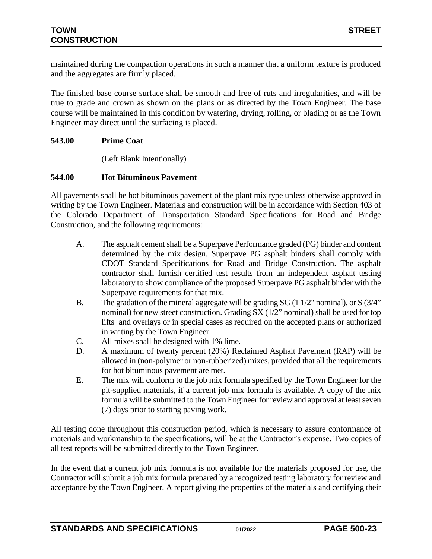maintained during the compaction operations in such a manner that a uniform texture is produced and the aggregates are firmly placed.

The finished base course surface shall be smooth and free of ruts and irregularities, and will be true to grade and crown as shown on the plans or as directed by the Town Engineer. The base course will be maintained in this condition by watering, drying, rolling, or blading or as the Town Engineer may direct until the surfacing is placed.

### <span id="page-22-0"></span>**543.00 Prime Coat**

(Left Blank Intentionally)

### <span id="page-22-1"></span>**544.00 Hot Bituminous Pavement**

All pavements shall be hot bituminous pavement of the plant mix type unless otherwise approved in writing by the Town Engineer. Materials and construction will be in accordance with Section 403 of the Colorado Department of Transportation Standard Specifications for Road and Bridge Construction, and the following requirements:

- A. The asphalt cement shall be a Superpave Performance graded (PG) binder and content determined by the mix design. Superpave PG asphalt binders shall comply with CDOT Standard Specifications for Road and Bridge Construction. The asphalt contractor shall furnish certified test results from an independent asphalt testing laboratory to show compliance of the proposed Superpave PG asphalt binder with the Superpave requirements for that mix.
- B. The gradation of the mineral aggregate will be grading SG (1 1/2" nominal), or S (3/4" nominal) for new street construction. Grading SX (1/2" nominal) shall be used for top lifts and overlays or in special cases as required on the accepted plans or authorized in writing by the Town Engineer.
- C. All mixes shall be designed with 1% lime.
- D. A maximum of twenty percent (20%) Reclaimed Asphalt Pavement (RAP) will be allowed in (non-polymer or non-rubberized) mixes, provided that all the requirements for hot bituminous pavement are met.
- E. The mix will conform to the job mix formula specified by the Town Engineer for the pit-supplied materials, if a current job mix formula is available. A copy of the mix formula will be submitted to the Town Engineer for review and approval at least seven (7) days prior to starting paving work.

All testing done throughout this construction period, which is necessary to assure conformance of materials and workmanship to the specifications, will be at the Contractor's expense. Two copies of all test reports will be submitted directly to the Town Engineer.

In the event that a current job mix formula is not available for the materials proposed for use, the Contractor will submit a job mix formula prepared by a recognized testing laboratory for review and acceptance by the Town Engineer. A report giving the properties of the materials and certifying their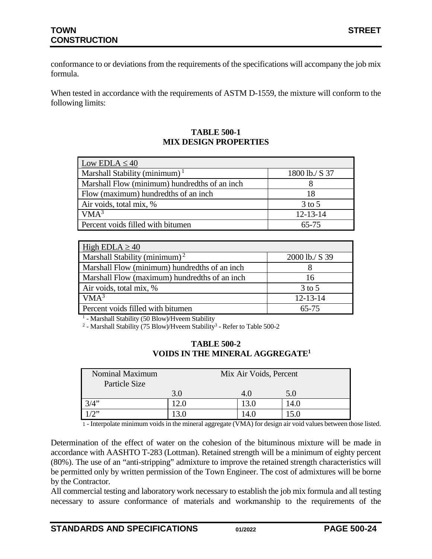conformance to or deviations from the requirements of the specifications will accompany the job mix formula.

When tested in accordance with the requirements of ASTM D-1559, the mixture will conform to the following limits:

## **TABLE 500-1 MIX DESIGN PROPERTIES**

| Low EDLA $\leq 40$                            |                |  |  |  |
|-----------------------------------------------|----------------|--|--|--|
| Marshall Stability (minimum) $1$              | 1800 lb./ S 37 |  |  |  |
| Marshall Flow (minimum) hundredths of an inch |                |  |  |  |
| Flow (maximum) hundredths of an inch          | 18             |  |  |  |
| Air voids, total mix, %                       | $3$ to $5$     |  |  |  |
| VMA <sup>3</sup>                              | $12 - 13 - 14$ |  |  |  |
| Percent voids filled with bitumen             | 65-75          |  |  |  |

| High EDLA $\geq 40$                           |                |  |  |  |
|-----------------------------------------------|----------------|--|--|--|
| Marshall Stability (minimum) <sup>2</sup>     | 2000 lb./ S 39 |  |  |  |
| Marshall Flow (minimum) hundredths of an inch |                |  |  |  |
| Marshall Flow (maximum) hundredths of an inch | 16             |  |  |  |
| Air voids, total mix, %                       | $3$ to $5$     |  |  |  |
| VMA <sup>3</sup>                              | $12 - 13 - 14$ |  |  |  |
| Percent voids filled with bitumen             | $65 - 75$      |  |  |  |

<sup>1</sup> - Marshall Stability (50 Blow)/Hveem Stability

<sup>2</sup> - Marshall Stability (75 Blow)/Hveem Stability<sup>3</sup> - Refer to Table 500-2

| <b>TABLE 500-2</b>                          |
|---------------------------------------------|
| VOIDS IN THE MINERAL AGGREGATE <sup>1</sup> |

| Nominal Maximum<br>Particle Size |     | Mix Air Voids, Percent |      |
|----------------------------------|-----|------------------------|------|
|                                  | 3.0 | 4.0                    | 5.0  |
| 3/4"                             |     | 3.0                    | 14.0 |
| 1/2"                             |     |                        |      |

1 - Interpolate minimum voids in the mineral aggregate (VMA) for design air void values between those listed.

Determination of the effect of water on the cohesion of the bituminous mixture will be made in accordance with AASHTO T-283 (Lottman). Retained strength will be a minimum of eighty percent (80%). The use of an "anti-stripping" admixture to improve the retained strength characteristics will be permitted only by written permission of the Town Engineer. The cost of admixtures will be borne by the Contractor.

All commercial testing and laboratory work necessary to establish the job mix formula and all testing necessary to assure conformance of materials and workmanship to the requirements of the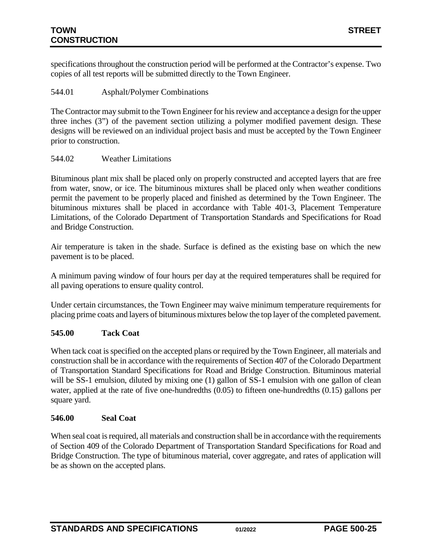specifications throughout the construction period will be performed at the Contractor's expense. Two copies of all test reports will be submitted directly to the Town Engineer.

## <span id="page-24-0"></span>544.01 Asphalt/Polymer Combinations

The Contractor may submit to the Town Engineer for his review and acceptance a design for the upper three inches (3") of the pavement section utilizing a polymer modified pavement design. These designs will be reviewed on an individual project basis and must be accepted by the Town Engineer prior to construction.

### <span id="page-24-1"></span>544.02 Weather Limitations

Bituminous plant mix shall be placed only on properly constructed and accepted layers that are free from water, snow, or ice. The bituminous mixtures shall be placed only when weather conditions permit the pavement to be properly placed and finished as determined by the Town Engineer. The bituminous mixtures shall be placed in accordance with Table 401-3, Placement Temperature Limitations, of the Colorado Department of Transportation Standards and Specifications for Road and Bridge Construction.

Air temperature is taken in the shade. Surface is defined as the existing base on which the new pavement is to be placed.

A minimum paving window of four hours per day at the required temperatures shall be required for all paving operations to ensure quality control.

Under certain circumstances, the Town Engineer may waive minimum temperature requirements for placing prime coats and layers of bituminous mixtures below the top layer of the completed pavement.

### <span id="page-24-2"></span>**545.00 Tack Coat**

When tack coat is specified on the accepted plans or required by the Town Engineer, all materials and construction shall be in accordance with the requirements of Section 407 of the Colorado Department of Transportation Standard Specifications for Road and Bridge Construction. Bituminous material will be SS-1 emulsion, diluted by mixing one (1) gallon of SS-1 emulsion with one gallon of clean water, applied at the rate of five one-hundredths (0.05) to fifteen one-hundredths (0.15) gallons per square yard.

### <span id="page-24-3"></span>**546.00 Seal Coat**

When seal coat is required, all materials and construction shall be in accordance with the requirements of Section 409 of the Colorado Department of Transportation Standard Specifications for Road and Bridge Construction. The type of bituminous material, cover aggregate, and rates of application will be as shown on the accepted plans.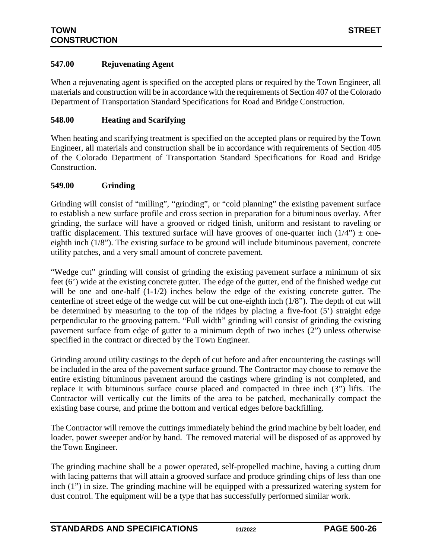### <span id="page-25-0"></span>**547.00 Rejuvenating Agent**

When a rejuvenating agent is specified on the accepted plans or required by the Town Engineer, all materials and construction will be in accordance with the requirements of Section 407 of the Colorado Department of Transportation Standard Specifications for Road and Bridge Construction.

### <span id="page-25-1"></span>**548.00 Heating and Scarifying**

When heating and scarifying treatment is specified on the accepted plans or required by the Town Engineer, all materials and construction shall be in accordance with requirements of Section 405 of the Colorado Department of Transportation Standard Specifications for Road and Bridge Construction.

### <span id="page-25-2"></span>**549.00 Grinding**

Grinding will consist of "milling", "grinding", or "cold planning" the existing pavement surface to establish a new surface profile and cross section in preparation for a bituminous overlay. After grinding, the surface will have a grooved or ridged finish, uniform and resistant to raveling or traffic displacement. This textured surface will have grooves of one-quarter inch  $(1/4") \pm$  oneeighth inch (1/8"). The existing surface to be ground will include bituminous pavement, concrete utility patches, and a very small amount of concrete pavement.

"Wedge cut" grinding will consist of grinding the existing pavement surface a minimum of six feet (6') wide at the existing concrete gutter. The edge of the gutter, end of the finished wedge cut will be one and one-half  $(1-1/2)$  inches below the edge of the existing concrete gutter. The centerline of street edge of the wedge cut will be cut one-eighth inch (1/8"). The depth of cut will be determined by measuring to the top of the ridges by placing a five-foot (5') straight edge perpendicular to the grooving pattern. "Full width" grinding will consist of grinding the existing pavement surface from edge of gutter to a minimum depth of two inches (2") unless otherwise specified in the contract or directed by the Town Engineer.

Grinding around utility castings to the depth of cut before and after encountering the castings will be included in the area of the pavement surface ground. The Contractor may choose to remove the entire existing bituminous pavement around the castings where grinding is not completed, and replace it with bituminous surface course placed and compacted in three inch (3") lifts. The Contractor will vertically cut the limits of the area to be patched, mechanically compact the existing base course, and prime the bottom and vertical edges before backfilling.

The Contractor will remove the cuttings immediately behind the grind machine by belt loader, end loader, power sweeper and/or by hand. The removed material will be disposed of as approved by the Town Engineer.

The grinding machine shall be a power operated, self-propelled machine, having a cutting drum with lacing patterns that will attain a grooved surface and produce grinding chips of less than one inch (1") in size. The grinding machine will be equipped with a pressurized watering system for dust control. The equipment will be a type that has successfully performed similar work.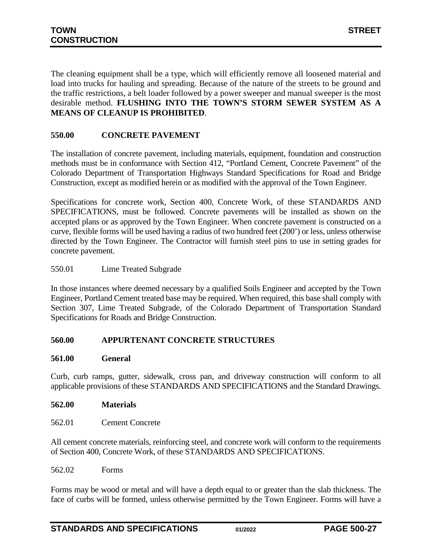The cleaning equipment shall be a type, which will efficiently remove all loosened material and load into trucks for hauling and spreading. Because of the nature of the streets to be ground and the traffic restrictions, a belt loader followed by a power sweeper and manual sweeper is the most desirable method. **FLUSHING INTO THE TOWN'S STORM SEWER SYSTEM AS A MEANS OF CLEANUP IS PROHIBITED**.

# <span id="page-26-0"></span>**550.00 CONCRETE PAVEMENT**

The installation of concrete pavement, including materials, equipment, foundation and construction methods must be in conformance with Section 412, "Portland Cement, Concrete Pavement" of the Colorado Department of Transportation Highways Standard Specifications for Road and Bridge Construction, except as modified herein or as modified with the approval of the Town Engineer.

Specifications for concrete work, Section 400, Concrete Work, of these STANDARDS AND SPECIFICATIONS, must be followed. Concrete pavements will be installed as shown on the accepted plans or as approved by the Town Engineer. When concrete pavement is constructed on a curve, flexible forms will be used having a radius of two hundred feet (200') or less, unless otherwise directed by the Town Engineer. The Contractor will furnish steel pins to use in setting grades for concrete pavement.

### <span id="page-26-1"></span>550.01 Lime Treated Subgrade

In those instances where deemed necessary by a qualified Soils Engineer and accepted by the Town Engineer, Portland Cement treated base may be required. When required, this base shall comply with Section 307, Lime Treated Subgrade, of the Colorado Department of Transportation Standard Specifications for Roads and Bridge Construction.

### <span id="page-26-2"></span>**560.00 APPURTENANT CONCRETE STRUCTURES**

#### <span id="page-26-3"></span>**561.00 General**

Curb, curb ramps, gutter, sidewalk, cross pan, and driveway construction will conform to all applicable provisions of these STANDARDS AND SPECIFICATIONS and the Standard Drawings.

#### <span id="page-26-5"></span><span id="page-26-4"></span>**562.00 Materials**

562.01 Cement Concrete

All cement concrete materials, reinforcing steel, and concrete work will conform to the requirements of Section 400, Concrete Work, of these STANDARDS AND SPECIFICATIONS.

<span id="page-26-6"></span>562.02 Forms

Forms may be wood or metal and will have a depth equal to or greater than the slab thickness. The face of curbs will be formed, unless otherwise permitted by the Town Engineer. Forms will have a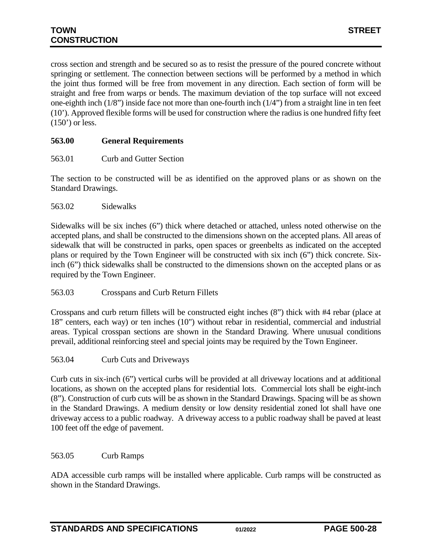cross section and strength and be secured so as to resist the pressure of the poured concrete without springing or settlement. The connection between sections will be performed by a method in which the joint thus formed will be free from movement in any direction. Each section of form will be straight and free from warps or bends. The maximum deviation of the top surface will not exceed one-eighth inch (1/8") inside face not more than one-fourth inch (1/4") from a straight line in ten feet (10'). Approved flexible forms will be used for construction where the radius is one hundred fifty feet  $(150')$  or less.

### <span id="page-27-0"></span>**563.00 General Requirements**

<span id="page-27-1"></span>563.01 Curb and Gutter Section

The section to be constructed will be as identified on the approved plans or as shown on the Standard Drawings.

<span id="page-27-2"></span>563.02 Sidewalks

Sidewalks will be six inches (6") thick where detached or attached, unless noted otherwise on the accepted plans, and shall be constructed to the dimensions shown on the accepted plans. All areas of sidewalk that will be constructed in parks, open spaces or greenbelts as indicated on the accepted plans or required by the Town Engineer will be constructed with six inch (6") thick concrete. Sixinch (6") thick sidewalks shall be constructed to the dimensions shown on the accepted plans or as required by the Town Engineer.

#### <span id="page-27-3"></span>563.03 Crosspans and Curb Return Fillets

Crosspans and curb return fillets will be constructed eight inches (8") thick with #4 rebar (place at 18" centers, each way) or ten inches (10") without rebar in residential, commercial and industrial areas. Typical crosspan sections are shown in the Standard Drawing. Where unusual conditions prevail, additional reinforcing steel and special joints may be required by the Town Engineer.

<span id="page-27-4"></span>563.04 Curb Cuts and Driveways

Curb cuts in six-inch (6") vertical curbs will be provided at all driveway locations and at additional locations, as shown on the accepted plans for residential lots. Commercial lots shall be eight-inch (8"). Construction of curb cuts will be as shown in the Standard Drawings. Spacing will be as shown in the Standard Drawings. A medium density or low density residential zoned lot shall have one driveway access to a public roadway. A driveway access to a public roadway shall be paved at least 100 feet off the edge of pavement.

#### <span id="page-27-5"></span>563.05 Curb Ramps

ADA accessible curb ramps will be installed where applicable. Curb ramps will be constructed as shown in the Standard Drawings.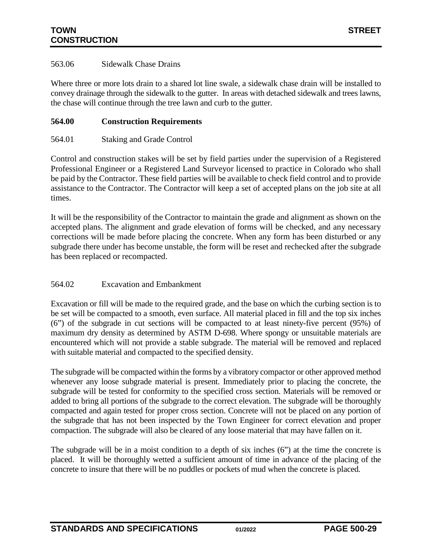### <span id="page-28-0"></span>563.06 Sidewalk Chase Drains

Where three or more lots drain to a shared lot line swale, a sidewalk chase drain will be installed to convey drainage through the sidewalk to the gutter. In areas with detached sidewalk and trees lawns, the chase will continue through the tree lawn and curb to the gutter.

### <span id="page-28-1"></span>**564.00 Construction Requirements**

### <span id="page-28-2"></span>564.01 Staking and Grade Control

Control and construction stakes will be set by field parties under the supervision of a Registered Professional Engineer or a Registered Land Surveyor licensed to practice in Colorado who shall be paid by the Contractor. These field parties will be available to check field control and to provide assistance to the Contractor. The Contractor will keep a set of accepted plans on the job site at all times.

It will be the responsibility of the Contractor to maintain the grade and alignment as shown on the accepted plans. The alignment and grade elevation of forms will be checked, and any necessary corrections will be made before placing the concrete. When any form has been disturbed or any subgrade there under has become unstable, the form will be reset and rechecked after the subgrade has been replaced or recompacted.

### <span id="page-28-3"></span>564.02 Excavation and Embankment

Excavation or fill will be made to the required grade, and the base on which the curbing section is to be set will be compacted to a smooth, even surface. All material placed in fill and the top six inches (6") of the subgrade in cut sections will be compacted to at least ninety-five percent (95%) of maximum dry density as determined by ASTM D-698. Where spongy or unsuitable materials are encountered which will not provide a stable subgrade. The material will be removed and replaced with suitable material and compacted to the specified density.

The subgrade will be compacted within the forms by a vibratory compactor or other approved method whenever any loose subgrade material is present. Immediately prior to placing the concrete, the subgrade will be tested for conformity to the specified cross section. Materials will be removed or added to bring all portions of the subgrade to the correct elevation. The subgrade will be thoroughly compacted and again tested for proper cross section. Concrete will not be placed on any portion of the subgrade that has not been inspected by the Town Engineer for correct elevation and proper compaction. The subgrade will also be cleared of any loose material that may have fallen on it.

The subgrade will be in a moist condition to a depth of six inches (6") at the time the concrete is placed. It will be thoroughly wetted a sufficient amount of time in advance of the placing of the concrete to insure that there will be no puddles or pockets of mud when the concrete is placed.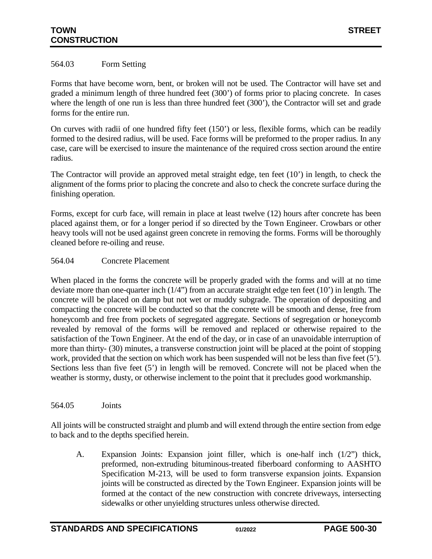### <span id="page-29-0"></span>564.03 Form Setting

Forms that have become worn, bent, or broken will not be used. The Contractor will have set and graded a minimum length of three hundred feet (300') of forms prior to placing concrete. In cases where the length of one run is less than three hundred feet (300'), the Contractor will set and grade forms for the entire run.

On curves with radii of one hundred fifty feet (150') or less, flexible forms, which can be readily formed to the desired radius, will be used. Face forms will be preformed to the proper radius. In any case, care will be exercised to insure the maintenance of the required cross section around the entire radius.

The Contractor will provide an approved metal straight edge, ten feet (10') in length, to check the alignment of the forms prior to placing the concrete and also to check the concrete surface during the finishing operation.

Forms, except for curb face, will remain in place at least twelve (12) hours after concrete has been placed against them, or for a longer period if so directed by the Town Engineer. Crowbars or other heavy tools will not be used against green concrete in removing the forms. Forms will be thoroughly cleaned before re-oiling and reuse.

### <span id="page-29-1"></span>564.04 Concrete Placement

When placed in the forms the concrete will be properly graded with the forms and will at no time deviate more than one-quarter inch (1/4") from an accurate straight edge ten feet (10') in length. The concrete will be placed on damp but not wet or muddy subgrade. The operation of depositing and compacting the concrete will be conducted so that the concrete will be smooth and dense, free from honeycomb and free from pockets of segregated aggregate. Sections of segregation or honeycomb revealed by removal of the forms will be removed and replaced or otherwise repaired to the satisfaction of the Town Engineer. At the end of the day, or in case of an unavoidable interruption of more than thirty- (30) minutes, a transverse construction joint will be placed at the point of stopping work, provided that the section on which work has been suspended will not be less than five feet (5'). Sections less than five feet (5') in length will be removed. Concrete will not be placed when the weather is stormy, dusty, or otherwise inclement to the point that it precludes good workmanship.

<span id="page-29-2"></span>564.05 Joints

All joints will be constructed straight and plumb and will extend through the entire section from edge to back and to the depths specified herein.

A. Expansion Joints: Expansion joint filler, which is one-half inch (1/2") thick, preformed, non-extruding bituminous-treated fiberboard conforming to AASHTO Specification M-213, will be used to form transverse expansion joints. Expansion joints will be constructed as directed by the Town Engineer. Expansion joints will be formed at the contact of the new construction with concrete driveways, intersecting sidewalks or other unyielding structures unless otherwise directed.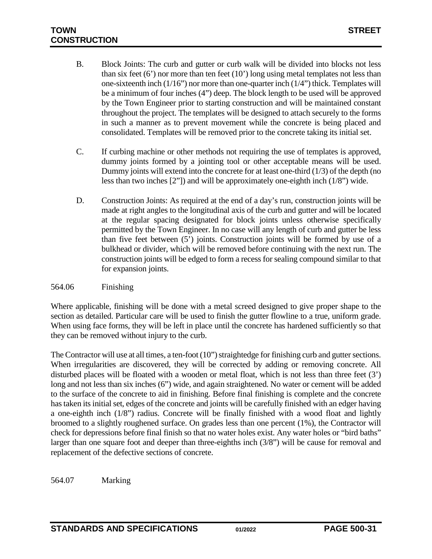# **TOWN STREET CONSTRUCTION**

- B. Block Joints: The curb and gutter or curb walk will be divided into blocks not less than six feet  $(6')$  nor more than ten feet  $(10')$  long using metal templates not less than one-sixteenth inch (1/16") nor more than one-quarter inch (1/4") thick. Templates will be a minimum of four inches (4") deep. The block length to be used will be approved by the Town Engineer prior to starting construction and will be maintained constant throughout the project. The templates will be designed to attach securely to the forms in such a manner as to prevent movement while the concrete is being placed and consolidated. Templates will be removed prior to the concrete taking its initial set.
- C. If curbing machine or other methods not requiring the use of templates is approved, dummy joints formed by a jointing tool or other acceptable means will be used. Dummy joints will extend into the concrete for at least one-third (1/3) of the depth (no less than two inches [2"]) and will be approximately one-eighth inch (1/8") wide.
- D. Construction Joints: As required at the end of a day's run, construction joints will be made at right angles to the longitudinal axis of the curb and gutter and will be located at the regular spacing designated for block joints unless otherwise specifically permitted by the Town Engineer. In no case will any length of curb and gutter be less than five feet between (5') joints. Construction joints will be formed by use of a bulkhead or divider, which will be removed before continuing with the next run. The construction joints will be edged to form a recess for sealing compound similar to that for expansion joints.

### <span id="page-30-0"></span>564.06 Finishing

Where applicable, finishing will be done with a metal screed designed to give proper shape to the section as detailed. Particular care will be used to finish the gutter flowline to a true, uniform grade. When using face forms, they will be left in place until the concrete has hardened sufficiently so that they can be removed without injury to the curb.

The Contractor will use at all times, a ten-foot (10") straightedge for finishing curb and gutter sections. When irregularities are discovered, they will be corrected by adding or removing concrete. All disturbed places will be floated with a wooden or metal float, which is not less than three feet (3') long and not less than six inches (6") wide, and again straightened. No water or cement will be added to the surface of the concrete to aid in finishing. Before final finishing is complete and the concrete has taken its initial set, edges of the concrete and joints will be carefully finished with an edger having a one-eighth inch (1/8") radius. Concrete will be finally finished with a wood float and lightly broomed to a slightly roughened surface. On grades less than one percent (1%), the Contractor will check for depressions before final finish so that no water holes exist. Any water holes or "bird baths" larger than one square foot and deeper than three-eighths inch (3/8") will be cause for removal and replacement of the defective sections of concrete.

<span id="page-30-1"></span>564.07 Marking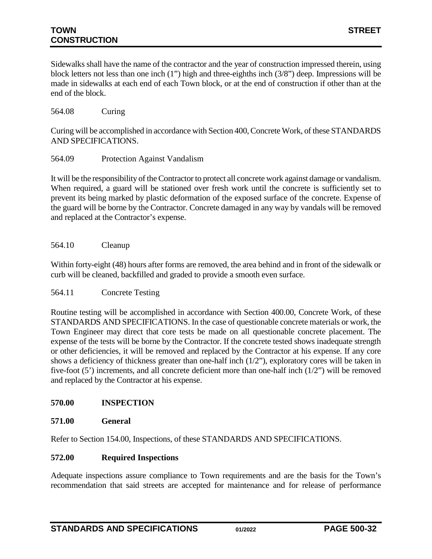# **TOWN STREET CONSTRUCTION**

Sidewalks shall have the name of the contractor and the year of construction impressed therein, using block letters not less than one inch (1") high and three-eighths inch (3/8") deep. Impressions will be made in sidewalks at each end of each Town block, or at the end of construction if other than at the end of the block.

### <span id="page-31-0"></span>564.08 Curing

Curing will be accomplished in accordance with Section 400, Concrete Work, of these STANDARDS AND SPECIFICATIONS.

<span id="page-31-1"></span>564.09 Protection Against Vandalism

It will be the responsibility of the Contractor to protect all concrete work against damage or vandalism. When required, a guard will be stationed over fresh work until the concrete is sufficiently set to prevent its being marked by plastic deformation of the exposed surface of the concrete. Expense of the guard will be borne by the Contractor. Concrete damaged in any way by vandals will be removed and replaced at the Contractor's expense.

### <span id="page-31-2"></span>564.10 Cleanup

Within forty-eight (48) hours after forms are removed, the area behind and in front of the sidewalk or curb will be cleaned, backfilled and graded to provide a smooth even surface.

#### <span id="page-31-3"></span>564.11 Concrete Testing

Routine testing will be accomplished in accordance with Section 400.00, Concrete Work, of these STANDARDS AND SPECIFICATIONS. In the case of questionable concrete materials or work, the Town Engineer may direct that core tests be made on all questionable concrete placement. The expense of the tests will be borne by the Contractor. If the concrete tested shows inadequate strength or other deficiencies, it will be removed and replaced by the Contractor at his expense. If any core shows a deficiency of thickness greater than one-half inch (1/2"), exploratory cores will be taken in five-foot (5') increments, and all concrete deficient more than one-half inch (1/2") will be removed and replaced by the Contractor at his expense.

### <span id="page-31-4"></span>**570.00 INSPECTION**

#### <span id="page-31-5"></span>**571.00 General**

<span id="page-31-6"></span>Refer to Section 154.00, Inspections, of these STANDARDS AND SPECIFICATIONS.

### **572.00 Required Inspections**

Adequate inspections assure compliance to Town requirements and are the basis for the Town's recommendation that said streets are accepted for maintenance and for release of performance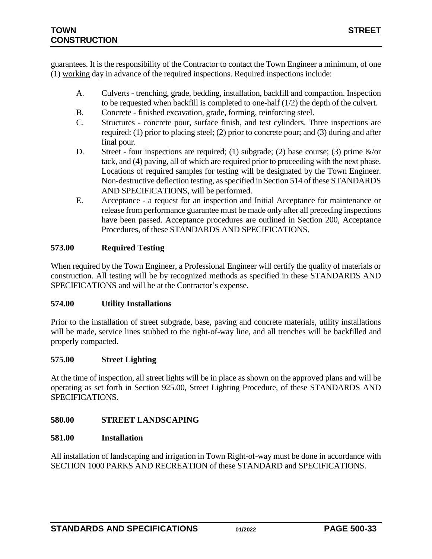guarantees. It is the responsibility of the Contractor to contact the Town Engineer a minimum, of one (1) working day in advance of the required inspections. Required inspections include:

- A. Culverts trenching, grade, bedding, installation, backfill and compaction. Inspection to be requested when backfill is completed to one-half (1/2) the depth of the culvert.
- B. Concrete finished excavation, grade, forming, reinforcing steel.
- C. Structures concrete pour, surface finish, and test cylinders. Three inspections are required: (1) prior to placing steel; (2) prior to concrete pour; and (3) during and after final pour.
- D. Street four inspections are required; (1) subgrade; (2) base course; (3) prime  $\&$ /or tack, and (4) paving, all of which are required prior to proceeding with the next phase. Locations of required samples for testing will be designated by the Town Engineer. Non-destructive deflection testing, as specified in Section 514 of these STANDARDS AND SPECIFICATIONS, will be performed.
- E. Acceptance a request for an inspection and Initial Acceptance for maintenance or release from performance guarantee must be made only after all preceding inspections have been passed. Acceptance procedures are outlined in Section 200, Acceptance Procedures, of these STANDARDS AND SPECIFICATIONS.

# <span id="page-32-0"></span>**573.00 Required Testing**

When required by the Town Engineer, a Professional Engineer will certify the quality of materials or construction. All testing will be by recognized methods as specified in these STANDARDS AND SPECIFICATIONS and will be at the Contractor's expense.

### <span id="page-32-1"></span>**574.00 Utility Installations**

Prior to the installation of street subgrade, base, paving and concrete materials, utility installations will be made, service lines stubbed to the right-of-way line, and all trenches will be backfilled and properly compacted.

### <span id="page-32-2"></span>**575.00 Street Lighting**

At the time of inspection, all street lights will be in place as shown on the approved plans and will be operating as set forth in Section 925.00, Street Lighting Procedure, of these STANDARDS AND SPECIFICATIONS.

### <span id="page-32-3"></span>**580.00 STREET LANDSCAPING**

### <span id="page-32-4"></span>**581.00 Installation**

All installation of landscaping and irrigation in Town Right-of-way must be done in accordance with SECTION 1000 PARKS AND RECREATION of these STANDARD and SPECIFICATIONS.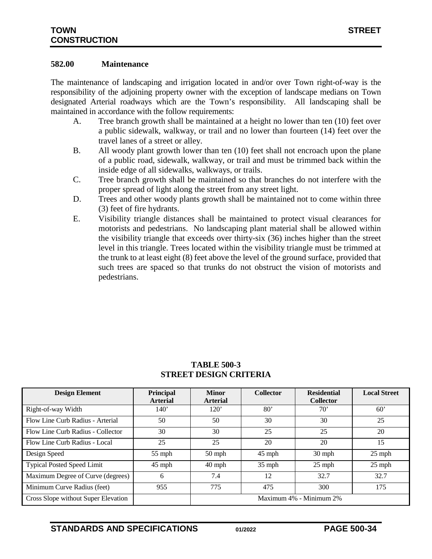#### <span id="page-33-0"></span>**582.00 Maintenance**

The maintenance of landscaping and irrigation located in and/or over Town right-of-way is the responsibility of the adjoining property owner with the exception of landscape medians on Town designated Arterial roadways which are the Town's responsibility. All landscaping shall be maintained in accordance with the follow requirements:

- A. Tree branch growth shall be maintained at a height no lower than ten (10) feet over a public sidewalk, walkway, or trail and no lower than fourteen (14) feet over the travel lanes of a street or alley.
- B. All woody plant growth lower than ten (10) feet shall not encroach upon the plane of a public road, sidewalk, walkway, or trail and must be trimmed back within the inside edge of all sidewalks, walkways, or trails.
- C. Tree branch growth shall be maintained so that branches do not interfere with the proper spread of light along the street from any street light.
- D. Trees and other woody plants growth shall be maintained not to come within three (3) feet of fire hydrants.
- E. Visibility triangle distances shall be maintained to protect visual clearances for motorists and pedestrians. No landscaping plant material shall be allowed within the visibility triangle that exceeds over thirty-six (36) inches higher than the street level in this triangle. Trees located within the visibility triangle must be trimmed at the trunk to at least eight (8) feet above the level of the ground surface, provided that such trees are spaced so that trunks do not obstruct the vision of motorists and pedestrians.

| <b>Design Element</b>               | <b>Principal</b><br><b>Arterial</b> | <b>Minor</b><br><b>Arterial</b> | <b>Collector</b> | <b>Residential</b><br><b>Collector</b> | <b>Local Street</b> |
|-------------------------------------|-------------------------------------|---------------------------------|------------------|----------------------------------------|---------------------|
| Right-of-way Width                  | 140'                                | 120'                            | $80^{\circ}$     | $70^{\circ}$                           | 60'                 |
| Flow Line Curb Radius - Arterial    | 50                                  | 50                              | 30               | 30                                     | 25                  |
| Flow Line Curb Radius - Collector   | 30                                  | 30                              | 25               | 25                                     | 20                  |
| Flow Line Curb Radius - Local       | 25                                  | 25                              | 20               | 20                                     | 15                  |
| Design Speed                        | $55$ mph                            | $50$ mph                        | $45$ mph         | $30$ mph                               | $25$ mph            |
| <b>Typical Posted Speed Limit</b>   | 45 mph                              | $40$ mph                        | $35$ mph         | $25$ mph                               | $25$ mph            |
| Maximum Degree of Curve (degrees)   | 6                                   | 7.4                             | 12               | 32.7                                   | 32.7                |
| Minimum Curve Radius (feet)         | 955                                 | 775                             | 475              | 300                                    | 175                 |
| Cross Slope without Super Elevation |                                     | Maximum 4% - Minimum 2%         |                  |                                        |                     |

### **TABLE 500-3 STREET DESIGN CRITERIA**